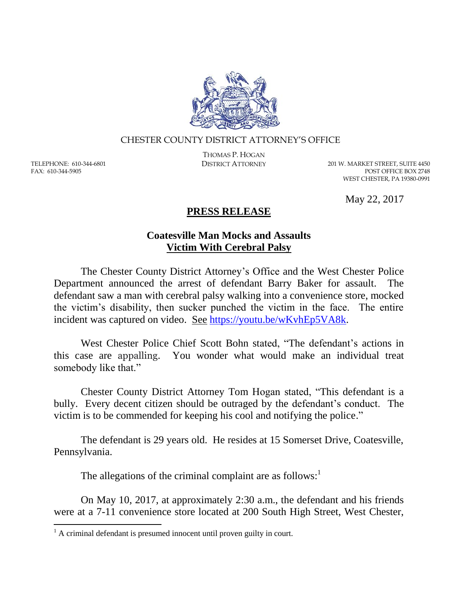

## CHESTER COUNTY DISTRICT ATTORNEY'S OFFICE

TELEPHONE: 610-344-6801 FAX: 610-344-5905

 $\overline{a}$ 

THOMAS P. HOGAN

DISTRICT ATTORNEY 201 W. MARKET STREET, SUITE 4450 POST OFFICE BOX 2748 WEST CHESTER, PA 19380-0991

May 22, 2017

## **PRESS RELEASE**

## **Coatesville Man Mocks and Assaults Victim With Cerebral Palsy**

The Chester County District Attorney's Office and the West Chester Police Department announced the arrest of defendant Barry Baker for assault. The defendant saw a man with cerebral palsy walking into a convenience store, mocked the victim's disability, then sucker punched the victim in the face. The entire incident was captured on video. See [https://youtu.be/wKvhEp5VA8k.](https://youtu.be/wKvhEp5VA8k)

West Chester Police Chief Scott Bohn stated, "The defendant's actions in this case are appalling. You wonder what would make an individual treat somebody like that."

Chester County District Attorney Tom Hogan stated, "This defendant is a bully. Every decent citizen should be outraged by the defendant's conduct. The victim is to be commended for keeping his cool and notifying the police."

The defendant is 29 years old. He resides at 15 Somerset Drive, Coatesville, Pennsylvania.

The allegations of the criminal complaint are as follows:<sup>1</sup>

On May 10, 2017, at approximately 2:30 a.m., the defendant and his friends were at a 7-11 convenience store located at 200 South High Street, West Chester,

 $<sup>1</sup>$  A criminal defendant is presumed innocent until proven guilty in court.</sup>